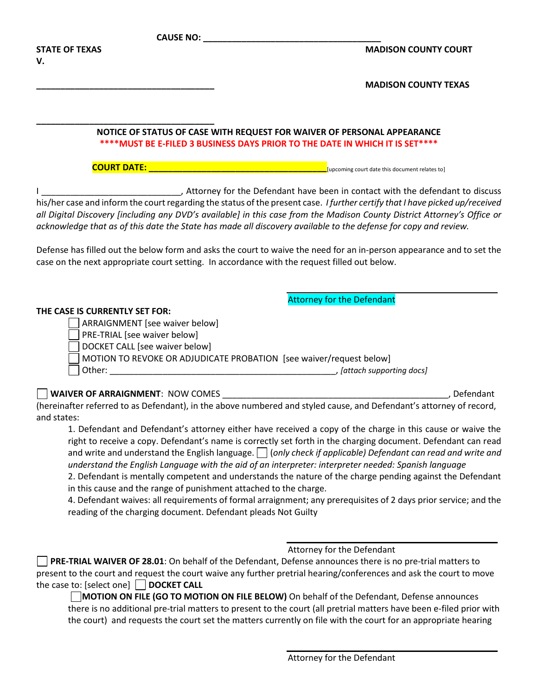| <b>CAUSE NO:</b>                                                                                                                   |                                                                                                                                                                                                                                                                                                                                                                                                                                                                                                                                                                                                                                                                                          |
|------------------------------------------------------------------------------------------------------------------------------------|------------------------------------------------------------------------------------------------------------------------------------------------------------------------------------------------------------------------------------------------------------------------------------------------------------------------------------------------------------------------------------------------------------------------------------------------------------------------------------------------------------------------------------------------------------------------------------------------------------------------------------------------------------------------------------------|
| <b>STATE OF TEXAS</b><br>v.                                                                                                        | <b>MADISON COUNTY COURT</b>                                                                                                                                                                                                                                                                                                                                                                                                                                                                                                                                                                                                                                                              |
|                                                                                                                                    | <b>MADISON COUNTY TEXAS</b>                                                                                                                                                                                                                                                                                                                                                                                                                                                                                                                                                                                                                                                              |
|                                                                                                                                    | NOTICE OF STATUS OF CASE WITH REQUEST FOR WAIVER OF PERSONAL APPEARANCE<br>**** MUST BE E-FILED 3 BUSINESS DAYS PRIOR TO THE DATE IN WHICH IT IS SET****                                                                                                                                                                                                                                                                                                                                                                                                                                                                                                                                 |
|                                                                                                                                    |                                                                                                                                                                                                                                                                                                                                                                                                                                                                                                                                                                                                                                                                                          |
|                                                                                                                                    | his/her case and inform the court regarding the status of the present case. I further certify that I have picked up/received<br>all Digital Discovery [including any DVD's available] in this case from the Madison County District Attorney's Office or<br>acknowledge that as of this date the State has made all discovery available to the defense for copy and review.                                                                                                                                                                                                                                                                                                              |
| case on the next appropriate court setting. In accordance with the request filled out below.                                       | Defense has filled out the below form and asks the court to waive the need for an in-person appearance and to set the                                                                                                                                                                                                                                                                                                                                                                                                                                                                                                                                                                    |
| THE CASE IS CURRENTLY SET FOR:<br>ARRAIGNMENT [see waiver below]<br>PRE-TRIAL [see waiver below]<br>DOCKET CALL [see waiver below] | <b>Attorney for the Defendant</b><br>MOTION TO REVOKE OR ADJUDICATE PROBATION [see waiver/request below]                                                                                                                                                                                                                                                                                                                                                                                                                                                                                                                                                                                 |
|                                                                                                                                    |                                                                                                                                                                                                                                                                                                                                                                                                                                                                                                                                                                                                                                                                                          |
| and states:                                                                                                                        | (hereinafter referred to as Defendant), in the above numbered and styled cause, and Defendant's attorney of record,                                                                                                                                                                                                                                                                                                                                                                                                                                                                                                                                                                      |
| in this cause and the range of punishment attached to the charge.<br>reading of the charging document. Defendant pleads Not Guilty | 1. Defendant and Defendant's attorney either have received a copy of the charge in this cause or waive the<br>right to receive a copy. Defendant's name is correctly set forth in the charging document. Defendant can read<br>and write and understand the English language. $\Box$ (only check if applicable) Defendant can read and write and<br>understand the English Language with the aid of an interpreter: interpreter needed: Spanish language<br>2. Defendant is mentally competent and understands the nature of the charge pending against the Defendant<br>4. Defendant waives: all requirements of formal arraignment; any prerequisites of 2 days prior service; and the |
| the case to: [select one] $\Box$ DOCKET CALL                                                                                       | Attorney for the Defendant<br>PRE-TRIAL WAIVER OF 28.01: On behalf of the Defendant, Defense announces there is no pre-trial matters to<br>present to the court and request the court waive any further pretrial hearing/conferences and ask the court to move<br>MOTION ON FILE (GO TO MOTION ON FILE BELOW) On behalf of the Defendant, Defense announces<br>there is no additional pre-trial matters to present to the court (all pretrial matters have been e-filed prior with<br>the court) and requests the court set the matters currently on file with the court for an appropriate hearing                                                                                      |
|                                                                                                                                    |                                                                                                                                                                                                                                                                                                                                                                                                                                                                                                                                                                                                                                                                                          |